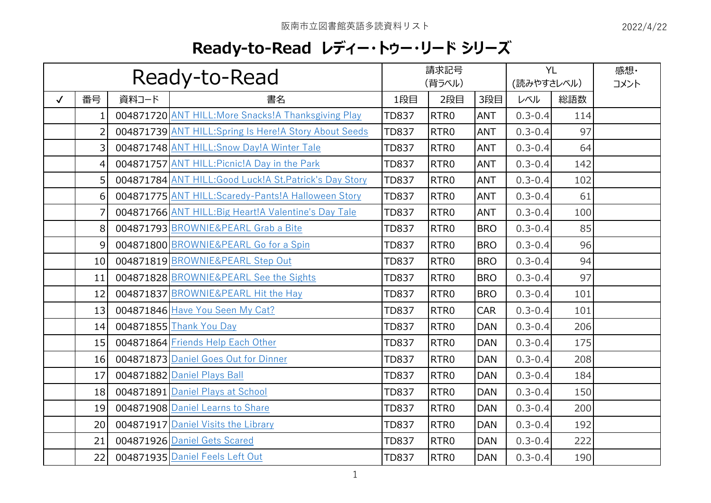## **Ready-to-Read レディー・トゥー・リード シリーズ**

|              |                |       | Ready-to-Read                                            |              | 請求記号<br>(背ラベル)   |            | (読みやすさレベル)  | <b>YL</b> | 感想·<br>コメント |
|--------------|----------------|-------|----------------------------------------------------------|--------------|------------------|------------|-------------|-----------|-------------|
| $\checkmark$ | 番号             | 資料コード | 書名                                                       | 1段目          | 2段目              | 3段目        | レベル         | 総語数       |             |
|              | 1              |       | 004871720 ANT HILL: More Snacks! A Thanksgiving Play     | <b>TD837</b> | RTR <sub>0</sub> | <b>ANT</b> | $0.3 - 0.4$ | 114       |             |
|              | 2              |       | 004871739 ANT HILL: Spring Is Here! A Story About Seeds  | <b>TD837</b> | RTR <sub>0</sub> | <b>ANT</b> | $0.3 - 0.4$ | 97        |             |
|              | 3              |       | 004871748 ANT HILL:Snow Day!A Winter Tale                | <b>TD837</b> | RTR <sub>0</sub> | <b>ANT</b> | $0.3 - 0.4$ | 64        |             |
|              | 4              |       | 004871757 ANT HILL: Picnic! A Day in the Park            | <b>TD837</b> | RTR <sub>0</sub> | <b>ANT</b> | $0.3 - 0.4$ | 142       |             |
|              | 5              |       | 004871784 ANT HILL: Good Luck! A St. Patrick's Day Story | <b>TD837</b> | RTR <sub>0</sub> | <b>ANT</b> | $0.3 - 0.4$ | 102       |             |
|              | 6              |       | 004871775 ANT HILL:Scaredy-Pants!A Halloween Story       | <b>TD837</b> | RTR <sub>0</sub> | <b>ANT</b> | $0.3 - 0.4$ | 61        |             |
|              | $\overline{7}$ |       | 004871766 ANT HILL: Big Heart! A Valentine's Day Tale    | <b>TD837</b> | RTR <sub>0</sub> | <b>ANT</b> | $0.3 - 0.4$ | 100       |             |
|              | 8              |       | 004871793 BROWNIE&PEARL Grab a Bite                      | <b>TD837</b> | RTR <sub>0</sub> | <b>BRO</b> | $0.3 - 0.4$ | 85        |             |
|              | 9              |       | 004871800 BROWNIE&PEARL Go for a Spin                    | <b>TD837</b> | RTR <sub>0</sub> | <b>BRO</b> | $0.3 - 0.4$ | 96        |             |
|              | 10             |       | 004871819 BROWNIE&PEARL Step Out                         | <b>TD837</b> | RTR <sub>0</sub> | <b>BRO</b> | $0.3 - 0.4$ | 94        |             |
|              | 11             |       | 004871828 BROWNIE& PEARL See the Sights                  | <b>TD837</b> | RTR <sub>0</sub> | <b>BRO</b> | $0.3 - 0.4$ | 97        |             |
|              | 12             |       | 004871837 BROWNIE&PEARL Hit the Hay                      | <b>TD837</b> | RTR <sub>0</sub> | <b>BRO</b> | $0.3 - 0.4$ | 101       |             |
|              | 13             |       | 004871846 Have You Seen My Cat?                          | <b>TD837</b> | RTR <sub>0</sub> | <b>CAR</b> | $0.3 - 0.4$ | 101       |             |
|              | 14             |       | 004871855 Thank You Day                                  | <b>TD837</b> | RTR <sub>0</sub> | <b>DAN</b> | $0.3 - 0.4$ | 206       |             |
|              | 15             |       | 004871864 Friends Help Each Other                        | <b>TD837</b> | RTR <sub>0</sub> | <b>DAN</b> | $0.3 - 0.4$ | 175       |             |
|              | 16             |       | 004871873 Daniel Goes Out for Dinner                     | <b>TD837</b> | RTR <sub>0</sub> | <b>DAN</b> | $0.3 - 0.4$ | 208       |             |
|              | 17             |       | 004871882 Daniel Plays Ball                              | <b>TD837</b> | RTR <sub>0</sub> | <b>DAN</b> | $0.3 - 0.4$ | 184       |             |
|              | 18             |       | 004871891 Daniel Plays at School                         | <b>TD837</b> | RTR <sub>0</sub> | <b>DAN</b> | $0.3 - 0.4$ | 150       |             |
|              | 19             |       | 004871908 Daniel Learns to Share                         | <b>TD837</b> | RTR <sub>0</sub> | <b>DAN</b> | $0.3 - 0.4$ | 200       |             |
|              | 20             |       | 004871917 Daniel Visits the Library                      | <b>TD837</b> | RTR <sub>0</sub> | <b>DAN</b> | $0.3 - 0.4$ | 192       |             |
|              | 21             |       | 004871926 Daniel Gets Scared                             | <b>TD837</b> | RTR <sub>0</sub> | <b>DAN</b> | $0.3 - 0.4$ | 222       |             |
|              | 22             |       | 004871935 Daniel Feels Left Out                          | <b>TD837</b> | RTR <sub>0</sub> | <b>DAN</b> | $0.3 - 0.4$ | 190       |             |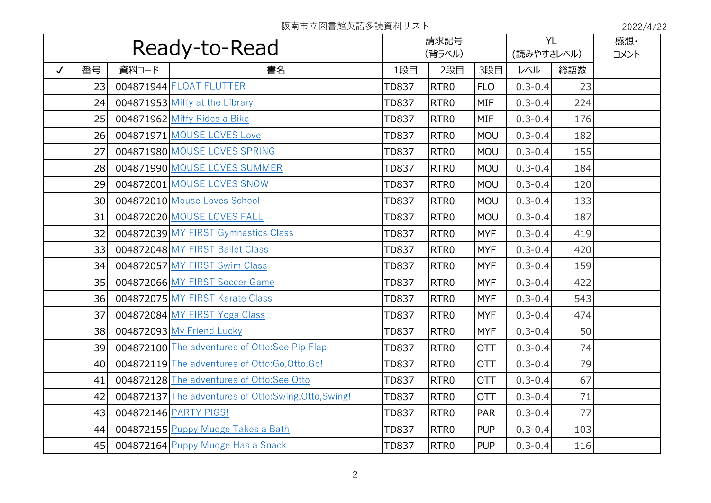|              |                 |       | Ready-to-Read                                         |              | 請求記号<br>(背ラベル)   |            | <b>YL</b><br>(読みやすさレベル) |     | 感想·<br>コメント |
|--------------|-----------------|-------|-------------------------------------------------------|--------------|------------------|------------|-------------------------|-----|-------------|
| $\checkmark$ | 番号              | 資料コード | 書名                                                    | 1段目          | 2段目              | 3段目        | レベル                     | 総語数 |             |
|              | 23              |       | 004871944 FLOAT FLUTTER                               | <b>TD837</b> | RTR0             | <b>FLO</b> | $0.3 - 0.4$             | 23  |             |
|              | 24              |       | 004871953 Miffy at the Library                        | <b>TD837</b> | RTR <sub>0</sub> | <b>MIF</b> | $0.3 - 0.4$             | 224 |             |
|              | 25              |       | 004871962 Miffy Rides a Bike                          | <b>TD837</b> | RTR0             | <b>MIF</b> | $0.3 - 0.4$             | 176 |             |
|              | 26              |       | 004871971 MOUSE LOVES Love                            | <b>TD837</b> | RTR <sub>0</sub> | <b>MOU</b> | $0.3 - 0.4$             | 182 |             |
|              | 27              |       | 004871980 MOUSE LOVES SPRING                          | <b>TD837</b> | RTR <sub>0</sub> | <b>MOU</b> | $0.3 - 0.4$             | 155 |             |
|              | 28              |       | 004871990 MOUSE LOVES SUMMER                          | <b>TD837</b> | RTR <sub>0</sub> | <b>MOU</b> | $0.3 - 0.4$             | 184 |             |
|              | 29              |       | 004872001 MOUSE LOVES SNOW                            | <b>TD837</b> | RTR <sub>0</sub> | <b>MOU</b> | $0.3 - 0.4$             | 120 |             |
|              | 30 <sup>°</sup> |       | 004872010 Mouse Loves School                          | <b>TD837</b> | RTR0             | MOU        | $0.3 - 0.4$             | 133 |             |
|              | 31              |       | 004872020 MOUSE LOVES FALL                            | <b>TD837</b> | RTR0             | <b>MOU</b> | $0.3 - 0.4$             | 187 |             |
|              | 32              |       | 004872039 MY FIRST Gymnastics Class                   | <b>TD837</b> | RTR <sub>0</sub> | <b>MYF</b> | $0.3 - 0.4$             | 419 |             |
|              | 33              |       | 004872048 MY FIRST Ballet Class                       | <b>TD837</b> | RTR0             | <b>MYF</b> | $0.3 - 0.4$             | 420 |             |
|              | 34              |       | 004872057 MY FIRST Swim Class                         | <b>TD837</b> | RTR <sub>0</sub> | <b>MYF</b> | $0.3 - 0.4$             | 159 |             |
|              | 35              |       | 004872066 MY FIRST Soccer Game                        | <b>TD837</b> | RTR <sub>0</sub> | <b>MYF</b> | $0.3 - 0.4$             | 422 |             |
|              | 36              |       | 004872075 MY FIRST Karate Class                       | <b>TD837</b> | RTR <sub>0</sub> | <b>MYF</b> | $0.3 - 0.4$             | 543 |             |
|              | 37              |       | 004872084 MY FIRST Yoga Class                         | <b>TD837</b> | RTR <sub>0</sub> | <b>MYF</b> | $0.3 - 0.4$             | 474 |             |
|              | 38              |       | 004872093 My Friend Lucky                             | <b>TD837</b> | RTR <sub>0</sub> | <b>MYF</b> | $0.3 - 0.4$             | 50  |             |
|              | 39              |       | 004872100 The adventures of Otto:See Pip Flap         | <b>TD837</b> | RTR <sub>0</sub> | <b>OTT</b> | $0.3 - 0.4$             | 74  |             |
|              | 40              |       | 004872119 The adventures of Otto:Go, Otto, Go!        | <b>TD837</b> | RTR <sub>0</sub> | <b>OTT</b> | $0.3 - 0.4$             | 79  |             |
|              | 41              |       | 004872128 The adventures of Otto:See Otto             | <b>TD837</b> | RTR0             | <b>OTT</b> | $0.3 - 0.4$             | 67  |             |
|              | 42              |       | 004872137 The adventures of Otto: Swing, Otto, Swing! | <b>TD837</b> | RTR0             | <b>OTT</b> | $0.3 - 0.4$             | 71  |             |
|              | 43              |       | 004872146 PARTY PIGS!                                 | <b>TD837</b> | RTR0             | <b>PAR</b> | $0.3 - 0.4$             | 77  |             |
|              | 44              |       | 004872155 Puppy Mudge Takes a Bath                    | <b>TD837</b> | RTR <sub>0</sub> | <b>PUP</b> | $0.3 - 0.4$             | 103 |             |
|              | 45              |       | 004872164 Puppy Mudge Has a Snack                     | <b>TD837</b> | RTR <sub>0</sub> | <b>PUP</b> | $0.3 - 0.4$             | 116 |             |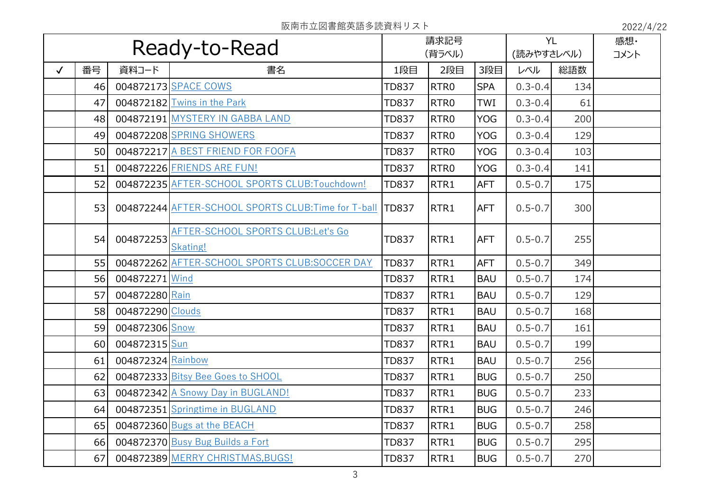|              |    |                   | Ready-to-Read                                       |              | 請求記号             |            |             | <b>YL</b> | 感想·  |
|--------------|----|-------------------|-----------------------------------------------------|--------------|------------------|------------|-------------|-----------|------|
|              |    |                   |                                                     |              | (背ラベル)           |            | (読みやすさレベル)  |           | コメント |
| $\checkmark$ | 番号 | 資料コード             | 書名                                                  | 1段目          | 2段目              | 3段目        | レベル         | 総語数       |      |
|              | 46 |                   | 004872173 SPACE COWS                                | <b>TD837</b> | RTR0             | <b>SPA</b> | $0.3 - 0.4$ | 134       |      |
|              | 47 |                   | 004872182 Twins in the Park                         | <b>TD837</b> | RTR <sub>0</sub> | <b>TWI</b> | $0.3 - 0.4$ | 61        |      |
|              | 48 |                   | 004872191 MYSTERY IN GABBA LAND                     | <b>TD837</b> | RTR <sub>0</sub> | <b>YOG</b> | $0.3 - 0.4$ | 200       |      |
|              | 49 |                   | 004872208 SPRING SHOWERS                            | <b>TD837</b> | RTR <sub>0</sub> | <b>YOG</b> | $0.3 - 0.4$ | 129       |      |
|              | 50 |                   | 004872217 A BEST FRIEND FOR FOOFA                   | <b>TD837</b> | RTR0             | <b>YOG</b> | $0.3 - 0.4$ | 103       |      |
|              | 51 |                   | 004872226 FRIENDS ARE FUN!                          | <b>TD837</b> | RTR <sub>0</sub> | <b>YOG</b> | $0.3 - 0.4$ | 141       |      |
|              | 52 |                   | 004872235 AFTER-SCHOOL SPORTS CLUB: Touchdown!      | <b>TD837</b> | RTR1             | <b>AFT</b> | $0.5 - 0.7$ | 175       |      |
|              | 53 |                   | 004872244 AFTER-SCHOOL SPORTS CLUB: Time for T-ball | <b>TD837</b> | RTR1             | <b>AFT</b> | $0.5 - 0.7$ | 300       |      |
|              | 54 | 004872253         | AFTER-SCHOOL SPORTS CLUB:Let's Go<br>Skating!       | <b>TD837</b> | RTR1             | <b>AFT</b> | $0.5 - 0.7$ | 255       |      |
|              | 55 |                   | 004872262 AFTER-SCHOOL SPORTS CLUB:SOCCER DAY       | <b>TD837</b> | RTR1             | <b>AFT</b> | $0.5 - 0.7$ | 349       |      |
|              | 56 | 004872271 Wind    |                                                     | <b>TD837</b> | RTR1             | <b>BAU</b> | $0.5 - 0.7$ | 174       |      |
|              | 57 | 004872280 Rain    |                                                     | <b>TD837</b> | RTR1             | <b>BAU</b> | $0.5 - 0.7$ | 129       |      |
|              | 58 | 004872290 Clouds  |                                                     | <b>TD837</b> | RTR1             | <b>BAU</b> | $0.5 - 0.7$ | 168       |      |
|              | 59 | 004872306 Snow    |                                                     | <b>TD837</b> | RTR1             | <b>BAU</b> | $0.5 - 0.7$ | 161       |      |
|              | 60 | 004872315 Sun     |                                                     | <b>TD837</b> | RTR1             | <b>BAU</b> | $0.5 - 0.7$ | 199       |      |
|              | 61 | 004872324 Rainbow |                                                     | <b>TD837</b> | RTR1             | <b>BAU</b> | $0.5 - 0.7$ | 256       |      |
|              | 62 |                   | 004872333 Bitsy Bee Goes to SHOOL                   | <b>TD837</b> | RTR1             | <b>BUG</b> | $0.5 - 0.7$ | 250       |      |
|              | 63 |                   | 004872342 A Snowy Day in BUGLAND!                   | <b>TD837</b> | RTR1             | <b>BUG</b> | $0.5 - 0.7$ | 233       |      |
|              | 64 |                   | 004872351 Springtime in BUGLAND                     | <b>TD837</b> | RTR1             | <b>BUG</b> | $0.5 - 0.7$ | 246       |      |
|              | 65 |                   | 004872360 Bugs at the BEACH                         | <b>TD837</b> | RTR1             | <b>BUG</b> | $0.5 - 0.7$ | 258       |      |
|              | 66 |                   | 004872370 Busy Bug Builds a Fort                    | <b>TD837</b> | RTR1             | <b>BUG</b> | $0.5 - 0.7$ | 295       |      |
|              | 67 |                   | 004872389 MERRY CHRISTMAS, BUGS!                    | <b>TD837</b> | RTR1             | <b>BUG</b> | $0.5 - 0.7$ | 270       |      |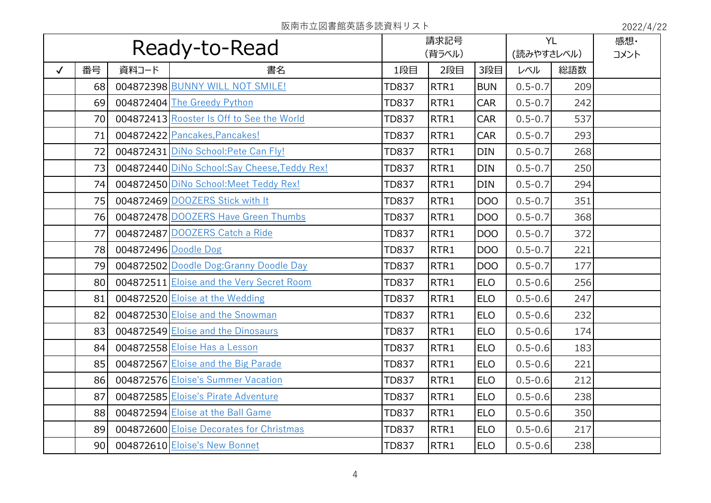|              |    |                      | Ready-to-Read                                |              | 請求記号<br>(背ラベル) |            | <b>YL</b><br>(読みやすさレベル) |     | 感想·<br>コメント |
|--------------|----|----------------------|----------------------------------------------|--------------|----------------|------------|-------------------------|-----|-------------|
| $\checkmark$ | 番号 | 資料コード                | 書名                                           | 1段目          | 2段目            | 3段目        | レベル                     | 総語数 |             |
|              | 68 |                      | 004872398 BUNNY WILL NOT SMILE!              | <b>TD837</b> | RTR1           | <b>BUN</b> | $0.5 - 0.7$             | 209 |             |
|              | 69 |                      | 004872404 The Greedy Python                  | <b>TD837</b> | RTR1           | <b>CAR</b> | $0.5 - 0.7$             | 242 |             |
|              | 70 |                      | 004872413 Rooster Is Off to See the World    | <b>TD837</b> | RTR1           | <b>CAR</b> | $0.5 - 0.7$             | 537 |             |
|              | 71 |                      | 004872422 Pancakes, Pancakes!                | <b>TD837</b> | RTR1           | <b>CAR</b> | $0.5 - 0.7$             | 293 |             |
|              | 72 |                      | 004872431 DiNo School: Pete Can Fly!         | <b>TD837</b> | RTR1           | <b>DIN</b> | $0.5 - 0.7$             | 268 |             |
|              | 73 |                      | 004872440 DiNo School:Say Cheese, Teddy Rex! | <b>TD837</b> | RTR1           | <b>DIN</b> | $0.5 - 0.7$             | 250 |             |
|              | 74 |                      | 004872450 DiNo School: Meet Teddy Rex!       | <b>TD837</b> | RTR1           | <b>DIN</b> | $0.5 - 0.7$             | 294 |             |
|              | 75 |                      | 004872469 DOOZERS Stick with It              | <b>TD837</b> | RTR1           | <b>DOO</b> | $0.5 - 0.7$             | 351 |             |
|              | 76 |                      | 004872478 DOOZERS Have Green Thumbs          | <b>TD837</b> | RTR1           | DOO        | $0.5 - 0.7$             | 368 |             |
|              | 77 |                      | 004872487 DOOZERS Catch a Ride               | <b>TD837</b> | RTR1           | DOO        | $0.5 - 0.7$             | 372 |             |
|              | 78 | 004872496 Doodle Dog |                                              | <b>TD837</b> | RTR1           | DOO        | $0.5 - 0.7$             | 221 |             |
|              | 79 |                      | 004872502 Doodle Dog:Granny Doodle Day       | <b>TD837</b> | RTR1           | <b>DOO</b> | $0.5 - 0.7$             | 177 |             |
|              | 80 |                      | 004872511 Eloise and the Very Secret Room    | <b>TD837</b> | RTR1           | <b>ELO</b> | $0.5 - 0.6$             | 256 |             |
|              | 81 |                      | 004872520 Eloise at the Wedding              | <b>TD837</b> | RTR1           | <b>ELO</b> | $0.5 - 0.6$             | 247 |             |
|              | 82 |                      | 004872530 Eloise and the Snowman             | <b>TD837</b> | RTR1           | <b>ELO</b> | $0.5 - 0.6$             | 232 |             |
|              | 83 |                      | 004872549 Eloise and the Dinosaurs           | <b>TD837</b> | RTR1           | <b>ELO</b> | $0.5 - 0.6$             | 174 |             |
|              | 84 |                      | 004872558 Eloise Has a Lesson                | <b>TD837</b> | RTR1           | <b>ELO</b> | $0.5 - 0.6$             | 183 |             |
|              | 85 |                      | 004872567 Eloise and the Big Parade          | <b>TD837</b> | RTR1           | <b>ELO</b> | $0.5 - 0.6$             | 221 |             |
|              | 86 |                      | 004872576 Eloise's Summer Vacation           | <b>TD837</b> | RTR1           | <b>ELO</b> | $0.5 - 0.6$             | 212 |             |
|              | 87 |                      | 004872585 Eloise's Pirate Adventure          | <b>TD837</b> | RTR1           | <b>ELO</b> | $0.5 - 0.6$             | 238 |             |
|              | 88 |                      | 004872594 Eloise at the Ball Game            | <b>TD837</b> | RTR1           | <b>ELO</b> | $0.5 - 0.6$             | 350 |             |
|              | 89 |                      | 004872600 Eloise Decorates for Christmas     | <b>TD837</b> | RTR1           | <b>ELO</b> | $0.5 - 0.6$             | 217 |             |
|              | 90 |                      | 004872610 Eloise's New Bonnet                | <b>TD837</b> | RTR1           | <b>ELO</b> | $0.5 - 0.6$             | 238 |             |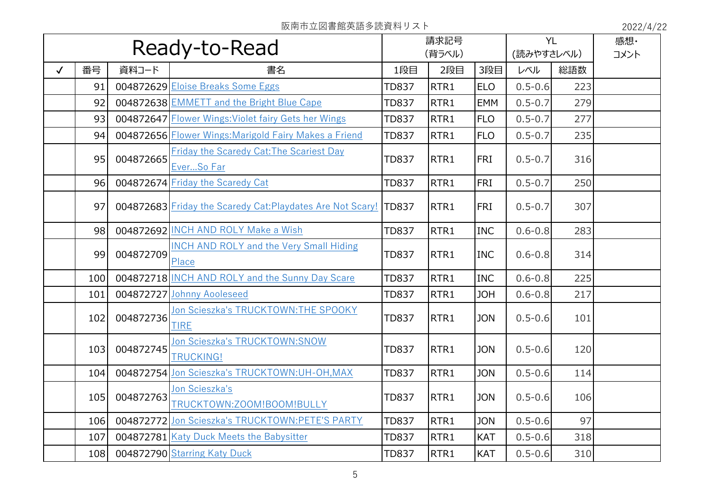|              |     |           | Ready-to-Read                                              |              | 請求記号<br>(背ラベル) |            | (読みやすさレベル)  | <b>YL</b> | 感想·<br>コメント |
|--------------|-----|-----------|------------------------------------------------------------|--------------|----------------|------------|-------------|-----------|-------------|
| $\checkmark$ | 番号  | 資料コード     | 書名                                                         | 1段目          | 2段目            | 3段目        | レベル         | 総語数       |             |
|              | 91  |           | 004872629 Eloise Breaks Some Eggs                          | <b>TD837</b> | RTR1           | <b>ELO</b> | $0.5 - 0.6$ | 223       |             |
|              | 92  |           | 004872638 EMMETT and the Bright Blue Cape                  | <b>TD837</b> | RTR1           | <b>EMM</b> | $0.5 - 0.7$ | 279       |             |
|              | 93  |           | 004872647 Flower Wings: Violet fairy Gets her Wings        | <b>TD837</b> | RTR1           | <b>FLO</b> | $0.5 - 0.7$ | 277       |             |
|              | 94  |           | 004872656 Flower Wings: Marigold Fairy Makes a Friend      | <b>TD837</b> | RTR1           | <b>FLO</b> | $0.5 - 0.7$ | 235       |             |
|              | 95  | 004872665 | Friday the Scaredy Cat: The Scariest Day<br>EverSo Far     | <b>TD837</b> | RTR1           | <b>FRI</b> | $0.5 - 0.7$ | 316       |             |
|              | 96  |           | 004872674 Friday the Scaredy Cat                           | <b>TD837</b> | RTR1           | <b>FRI</b> | $0.5 - 0.7$ | 250       |             |
|              | 97  |           | 004872683 Friday the Scaredy Cat: Playdates Are Not Scary! | <b>TD837</b> | RTR1           | <b>FRI</b> | $0.5 - 0.7$ | 307       |             |
|              | 98  |           | 004872692 INCH AND ROLY Make a Wish                        | <b>TD837</b> | RTR1           | <b>INC</b> | $0.6 - 0.8$ | 283       |             |
|              | 99  | 004872709 | <b>INCH AND ROLY and the Very Small Hiding</b><br>Place    | <b>TD837</b> | RTR1           | <b>INC</b> | $0.6 - 0.8$ | 314       |             |
|              | 100 |           | 004872718 INCH AND ROLY and the Sunny Day Scare            | <b>TD837</b> | RTR1           | <b>INC</b> | $0.6 - 0.8$ | 225       |             |
|              | 101 |           | 004872727 Johnny Aooleseed                                 | <b>TD837</b> | RTR1           | <b>JOH</b> | $0.6 - 0.8$ | 217       |             |
|              | 102 | 004872736 | Jon Scieszka's TRUCKTOWN:THE SPOOKY<br><b>TIRE</b>         | <b>TD837</b> | RTR1           | <b>JON</b> | $0.5 - 0.6$ | 101       |             |
|              | 103 | 004872745 | Jon Scieszka's TRUCKTOWN:SNOW<br>TRUCKING!                 | <b>TD837</b> | RTR1           | <b>JON</b> | $0.5 - 0.6$ | 120       |             |
|              | 104 |           | 004872754 Jon Scieszka's TRUCKTOWN:UH-OH, MAX              | <b>TD837</b> | RTR1           | <b>JON</b> | $0.5 - 0.6$ | 114       |             |
|              | 105 | 004872763 | Jon Scieszka's<br>TRUCKTOWN:ZOOM!BOOM!BULLY                | <b>TD837</b> | RTR1           | <b>JON</b> | $0.5 - 0.6$ | 106       |             |
|              | 106 |           | 004872772 Jon Scieszka's TRUCKTOWN:PETE'S PARTY            | <b>TD837</b> | RTR1           | <b>JON</b> | $0.5 - 0.6$ | 97        |             |
|              | 107 |           | 004872781 Katy Duck Meets the Babysitter                   | <b>TD837</b> | RTR1           | <b>KAT</b> | $0.5 - 0.6$ | 318       |             |
|              | 108 |           | 004872790 Starring Katy Duck                               | <b>TD837</b> | RTR1           | <b>KAT</b> | $0.5 - 0.6$ | 310       |             |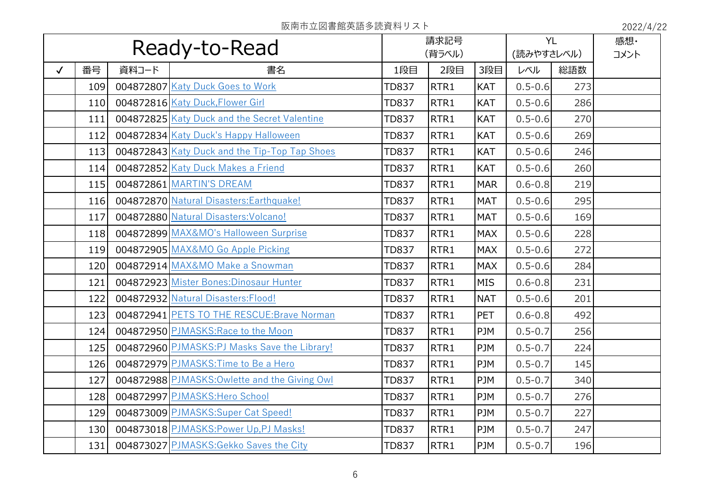|              |     |       | Ready-to-Read                                 |              | 請求記号<br>(背ラベル) |            | <b>YL</b><br>(読みやすさレベル) |     | 感想·<br>コメント |
|--------------|-----|-------|-----------------------------------------------|--------------|----------------|------------|-------------------------|-----|-------------|
| $\checkmark$ | 番号  | 資料コード | 書名                                            | 1段目          | 2段目            | 3段目        | レベル                     | 総語数 |             |
|              | 109 |       | 004872807 Katy Duck Goes to Work              | <b>TD837</b> | RTR1           | <b>KAT</b> | $0.5 - 0.6$             | 273 |             |
|              | 110 |       | 004872816 Katy Duck, Flower Girl              | <b>TD837</b> | RTR1           | <b>KAT</b> | $0.5 - 0.6$             | 286 |             |
|              | 111 |       | 004872825 Katy Duck and the Secret Valentine  | <b>TD837</b> | RTR1           | <b>KAT</b> | $0.5 - 0.6$             | 270 |             |
|              | 112 |       | 004872834 Katy Duck's Happy Halloween         | <b>TD837</b> | RTR1           | <b>KAT</b> | $0.5 - 0.6$             | 269 |             |
|              | 113 |       | 004872843 Katy Duck and the Tip-Top Tap Shoes | <b>TD837</b> | RTR1           | <b>KAT</b> | $0.5 - 0.6$             | 246 |             |
|              | 114 |       | 004872852 Katy Duck Makes a Friend            | <b>TD837</b> | RTR1           | <b>KAT</b> | $0.5 - 0.6$             | 260 |             |
|              | 115 |       | 004872861 MARTIN'S DREAM                      | <b>TD837</b> | RTR1           | <b>MAR</b> | $0.6 - 0.8$             | 219 |             |
|              | 116 |       | 004872870 Natural Disasters: Earthquake!      | <b>TD837</b> | RTR1           | <b>MAT</b> | $0.5 - 0.6$             | 295 |             |
|              | 117 |       | 004872880 Natural Disasters: Volcano!         | <b>TD837</b> | RTR1           | <b>MAT</b> | $0.5 - 0.6$             | 169 |             |
|              | 118 |       | 004872899 MAX&MO's Halloween Surprise         | <b>TD837</b> | RTR1           | <b>MAX</b> | $0.5 - 0.6$             | 228 |             |
|              | 119 |       | 004872905 MAX&MO Go Apple Picking             | <b>TD837</b> | RTR1           | <b>MAX</b> | $0.5 - 0.6$             | 272 |             |
|              | 120 |       | 004872914 MAX&MO Make a Snowman               | <b>TD837</b> | RTR1           | <b>MAX</b> | $0.5 - 0.6$             | 284 |             |
|              | 121 |       | 004872923 Mister Bones: Dinosaur Hunter       | <b>TD837</b> | RTR1           | <b>MIS</b> | $0.6 - 0.8$             | 231 |             |
|              | 122 |       | 004872932 Natural Disasters: Flood!           | <b>TD837</b> | RTR1           | <b>NAT</b> | $0.5 - 0.6$             | 201 |             |
|              | 123 |       | 004872941 PETS TO THE RESCUE: Brave Norman    | <b>TD837</b> | RTR1           | <b>PET</b> | $0.6 - 0.8$             | 492 |             |
|              | 124 |       | 004872950 PJMASKS: Race to the Moon           | <b>TD837</b> | RTR1           | <b>PJM</b> | $0.5 - 0.7$             | 256 |             |
|              | 125 |       | 004872960 PJMASKS:PJ Masks Save the Library!  | <b>TD837</b> | RTR1           | <b>PJM</b> | $0.5 - 0.7$             | 224 |             |
|              | 126 |       | 004872979 PJMASKS: Time to Be a Hero          | <b>TD837</b> | RTR1           | <b>PJM</b> | $0.5 - 0.7$             | 145 |             |
|              | 127 |       | 004872988 PJMASKS: Owlette and the Giving Owl | <b>TD837</b> | RTR1           | <b>PJM</b> | $0.5 - 0.7$             | 340 |             |
|              | 128 |       | 004872997 PJMASKS: Hero School                | <b>TD837</b> | RTR1           | <b>PJM</b> | $0.5 - 0.7$             | 276 |             |
|              | 129 |       | 004873009 PJMASKS:Super Cat Speed!            | <b>TD837</b> | RTR1           | <b>PJM</b> | $0.5 - 0.7$             | 227 |             |
|              | 130 |       | 004873018 PJMASKS: Power Up, PJ Masks!        | <b>TD837</b> | RTR1           | <b>PJM</b> | $0.5 - 0.7$             | 247 |             |
|              | 131 |       | 004873027 PJMASKS: Gekko Saves the City       | <b>TD837</b> | RTR1           | <b>PJM</b> | $0.5 - 0.7$             | 196 |             |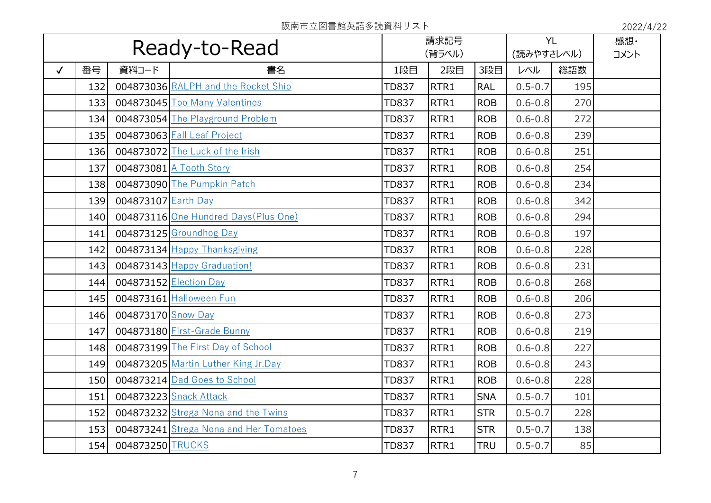|              |     |                     | Ready-to-Read                          |              | 請求記号<br>(背ラベル)   |            | <b>YL</b><br>(読みやすさレベル) |     | 感想·<br>コメント |
|--------------|-----|---------------------|----------------------------------------|--------------|------------------|------------|-------------------------|-----|-------------|
| $\checkmark$ | 番号  | 資料コード               | 書名                                     | 1段目          | 2段目              | 3段目        | レベル                     | 総語数 |             |
|              | 132 |                     | 004873036 RALPH and the Rocket Ship    | <b>TD837</b> | RTR1             | <b>RAL</b> | $0.5 - 0.7$             | 195 |             |
|              | 133 |                     | 004873045 Too Many Valentines          | <b>TD837</b> | RTR1             | <b>ROB</b> | $0.6 - 0.8$             | 270 |             |
|              | 134 |                     | 004873054 The Playground Problem       | <b>TD837</b> | RTR1             | <b>ROB</b> | $0.6 - 0.8$             | 272 |             |
|              | 135 |                     | 004873063 Fall Leaf Project            | <b>TD837</b> | RTR1             | <b>ROB</b> | $0.6 - 0.8$             | 239 |             |
|              | 136 |                     | 004873072 The Luck of the Irish        | <b>TD837</b> | RTR1             | <b>ROB</b> | $0.6 - 0.8$             | 251 |             |
|              | 137 |                     | 004873081 A Tooth Story                | <b>TD837</b> | RTR1             | <b>ROB</b> | $0.6 - 0.8$             | 254 |             |
|              | 138 |                     | 004873090 The Pumpkin Patch            | <b>TD837</b> | RTR1             | <b>ROB</b> | $0.6 - 0.8$             | 234 |             |
|              | 139 | 004873107 Earth Day |                                        | <b>TD837</b> | RTR1             | <b>ROB</b> | $0.6 - 0.8$             | 342 |             |
|              | 140 |                     | 004873116 One Hundred Days (Plus One)  | <b>TD837</b> | RTR1             | <b>ROB</b> | $0.6 - 0.8$             | 294 |             |
|              | 141 |                     | 004873125 Groundhog Day                | <b>TD837</b> | RTR1             | <b>ROB</b> | $0.6 - 0.8$             | 197 |             |
|              | 142 |                     | 004873134 Happy Thanksgiving           | <b>TD837</b> | RTR1             | <b>ROB</b> | $0.6 - 0.8$             | 228 |             |
|              | 143 |                     | 004873143 Happy Graduation!            | <b>TD837</b> | RTR1             | <b>ROB</b> | $0.6 - 0.8$             | 231 |             |
|              | 144 |                     | 004873152 Election Day                 | <b>TD837</b> | RTR <sub>1</sub> | <b>ROB</b> | $0.6 - 0.8$             | 268 |             |
|              | 145 |                     | 004873161 Halloween Fun                | <b>TD837</b> | RTR1             | <b>ROB</b> | $0.6 - 0.8$             | 206 |             |
|              | 146 | 004873170 Snow Day  |                                        | <b>TD837</b> | RTR1             | <b>ROB</b> | $0.6 - 0.8$             | 273 |             |
|              | 147 |                     | 004873180 First-Grade Bunny            | <b>TD837</b> | RTR1             | <b>ROB</b> | $0.6 - 0.8$             | 219 |             |
|              | 148 |                     | 004873199 The First Day of School      | <b>TD837</b> | RTR1             | <b>ROB</b> | $0.6 - 0.8$             | 227 |             |
|              | 149 |                     | 004873205 Martin Luther King Jr.Day    | <b>TD837</b> | RTR1             | <b>ROB</b> | $0.6 - 0.8$             | 243 |             |
|              | 150 |                     | 004873214 Dad Goes to School           | <b>TD837</b> | RTR1             | <b>ROB</b> | $0.6 - 0.8$             | 228 |             |
|              | 151 |                     | 004873223 Snack Attack                 | <b>TD837</b> | RTR1             | <b>SNA</b> | $0.5 - 0.7$             | 101 |             |
|              | 152 |                     | 004873232 Strega Nona and the Twins    | <b>TD837</b> | RTR1             | <b>STR</b> | $0.5 - 0.7$             | 228 |             |
|              | 153 |                     | 004873241 Strega Nona and Her Tomatoes | <b>TD837</b> | RTR1             | <b>STR</b> | $0.5 - 0.7$             | 138 |             |
|              | 154 | 004873250 TRUCKS    |                                        | <b>TD837</b> | RTR1             | <b>TRU</b> | $0.5 - 0.7$             | 85  |             |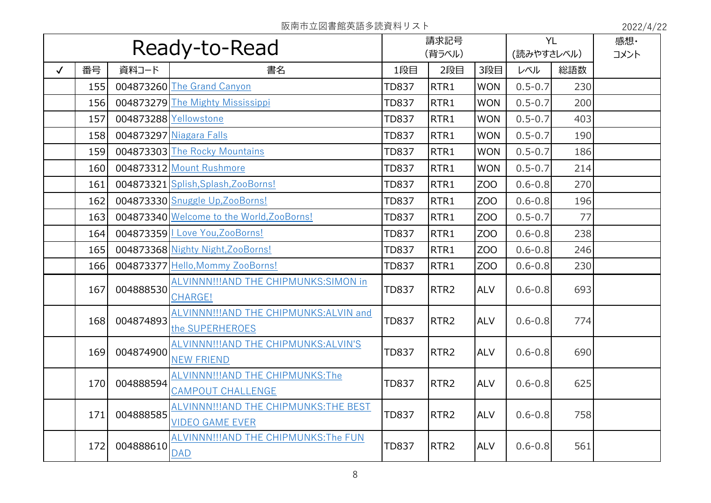|              | Ready-to-Read |           |                                                                   |              | 請求記号<br>(背ラベル)   |                 | <b>YL</b><br>(読みやすさレベル) |     | 感想·<br>コメント |
|--------------|---------------|-----------|-------------------------------------------------------------------|--------------|------------------|-----------------|-------------------------|-----|-------------|
| $\checkmark$ | 番号            | 資料コード     | 書名                                                                | 1段目          | 2段目              | 3段目             | レベル                     | 総語数 |             |
|              | 155           |           | 004873260 The Grand Canyon                                        | <b>TD837</b> | RTR1             | <b>WON</b>      | $0.5 - 0.7$             | 230 |             |
|              | 156           |           | 004873279 The Mighty Mississippi                                  | <b>TD837</b> | RTR1             | <b>WON</b>      | $0.5 - 0.7$             | 200 |             |
|              | 157           |           | 004873288 Yellowstone                                             | <b>TD837</b> | RTR1             | <b>WON</b>      | $0.5 - 0.7$             | 403 |             |
|              | 158           |           | 004873297 Niagara Falls                                           | <b>TD837</b> | RTR1             | <b>WON</b>      | $0.5 - 0.7$             | 190 |             |
|              | 159           |           | 004873303 The Rocky Mountains                                     | <b>TD837</b> | RTR1             | <b>WON</b>      | $0.5 - 0.7$             | 186 |             |
|              | 160           |           | 004873312 Mount Rushmore                                          | <b>TD837</b> | RTR1             | <b>WON</b>      | $0.5 - 0.7$             | 214 |             |
|              | 161           |           | 004873321 Splish, Splash, ZooBorns!                               | <b>TD837</b> | RTR1             | ZO <sub>O</sub> | $0.6 - 0.8$             | 270 |             |
|              | 162           |           | 004873330 Snuggle Up, ZooBorns!                                   | <b>TD837</b> | RTR1             | <b>ZOO</b>      | $0.6 - 0.8$             | 196 |             |
|              | 163           |           | 004873340 Welcome to the World, ZooBorns!                         | <b>TD837</b> | RTR1             | ZO <sub>O</sub> | $0.5 - 0.7$             | 77  |             |
|              | 164           |           | 004873359   Love You, ZooBorns!                                   | <b>TD837</b> | RTR1             | ZO <sub>O</sub> | $0.6 - 0.8$             | 238 |             |
|              | 165           |           | 004873368 Nighty Night, ZooBorns!                                 | <b>TD837</b> | RTR1             | ZO <sub>O</sub> | $0.6 - 0.8$             | 246 |             |
|              | 166           |           | 004873377 Hello, Mommy ZooBorns!                                  | <b>TD837</b> | RTR1             | <b>ZOO</b>      | $0.6 - 0.8$             | 230 |             |
|              | 167           | 004888530 | ALVINNN !!! AND THE CHIPMUNKS: SIMON in<br>CHARGE!                | <b>TD837</b> | RTR <sub>2</sub> | <b>ALV</b>      | $0.6 - 0.8$             | 693 |             |
|              | 168           | 004874893 | ALVINNN !!! AND THE CHIPMUNKS: ALVIN and<br>the SUPERHEROES       | <b>TD837</b> | RTR <sub>2</sub> | <b>ALV</b>      | $0.6 - 0.8$             | 774 |             |
|              | 169           | 004874900 | ALVINNN!!!AND THE CHIPMUNKS:ALVIN'S<br><b>NEW FRIEND</b>          | <b>TD837</b> | RTR <sub>2</sub> | <b>ALV</b>      | $0.6 - 0.8$             | 690 |             |
|              | 170           | 004888594 | ALVINNN !!! AND THE CHIPMUNKS: The<br><b>CAMPOUT CHALLENGE</b>    | <b>TD837</b> | RTR <sub>2</sub> | <b>ALV</b>      | $0.6 - 0.8$             | 625 |             |
|              | 171           | 004888585 | ALVINNN !!! AND THE CHIPMUNKS: THE BEST<br><b>VIDEO GAME EVER</b> | <b>TD837</b> | RTR <sub>2</sub> | <b>ALV</b>      | $0.6 - 0.8$             | 758 |             |
|              | 172           | 004888610 | ALVINNN!!!AND THE CHIPMUNKS: The FUN<br><b>DAD</b>                | <b>TD837</b> | RTR <sub>2</sub> | <b>ALV</b>      | $0.6 - 0.8$             | 561 |             |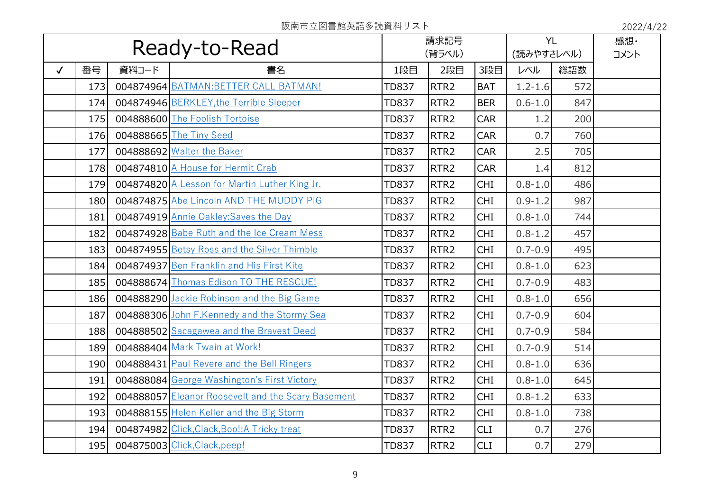|              | Ready-to-Read |       |                                                    |              | 請求記号<br>(背ラベル)   |            | <b>YL</b><br>(読みやすさレベル) |     | 感想·<br>コメント |
|--------------|---------------|-------|----------------------------------------------------|--------------|------------------|------------|-------------------------|-----|-------------|
| $\checkmark$ | 番号            | 資料コード | 書名                                                 | 1段目          | 2段目              | 3段目        | レベル                     | 総語数 |             |
|              | 173           |       | 004874964 BATMAN: BETTER CALL BATMAN!              | <b>TD837</b> | RTR <sub>2</sub> | <b>BAT</b> | $1.2 - 1.6$             | 572 |             |
|              | 174           |       | 004874946 BERKLEY, the Terrible Sleeper            | <b>TD837</b> | RTR <sub>2</sub> | <b>BER</b> | $0.6 - 1.0$             | 847 |             |
|              | 175           |       | 004888600 The Foolish Tortoise                     | <b>TD837</b> | RTR <sub>2</sub> | <b>CAR</b> | 1.2                     | 200 |             |
|              | 176           |       | 004888665 The Tiny Seed                            | <b>TD837</b> | RTR <sub>2</sub> | <b>CAR</b> | 0.7                     | 760 |             |
|              | 177           |       | 004888692 Walter the Baker                         | <b>TD837</b> | RTR <sub>2</sub> | <b>CAR</b> | 2.5                     | 705 |             |
|              | 178           |       | 004874810 A House for Hermit Crab                  | <b>TD837</b> | RTR <sub>2</sub> | <b>CAR</b> | 1.4                     | 812 |             |
|              | 179           |       | 004874820 A Lesson for Martin Luther King Jr.      | <b>TD837</b> | RTR <sub>2</sub> | <b>CHI</b> | $0.8 - 1.0$             | 486 |             |
|              | 180           |       | 004874875 Abe Lincoln AND THE MUDDY PIG            | <b>TD837</b> | RTR <sub>2</sub> | <b>CHI</b> | $0.9 - 1.2$             | 987 |             |
|              | 181           |       | 004874919 Annie Oakley: Saves the Day              | <b>TD837</b> | RTR <sub>2</sub> | <b>CHI</b> | $0.8 - 1.0$             | 744 |             |
|              | 182           |       | 004874928 Babe Ruth and the Ice Cream Mess         | <b>TD837</b> | RTR <sub>2</sub> | <b>CHI</b> | $0.8 - 1.2$             | 457 |             |
|              | 183           |       | 004874955 Betsy Ross and the Silver Thimble        | <b>TD837</b> | RTR <sub>2</sub> | <b>CHI</b> | $0.7 - 0.9$             | 495 |             |
|              | 184           |       | 004874937 Ben Franklin and His First Kite          | <b>TD837</b> | RTR <sub>2</sub> | <b>CHI</b> | $0.8 - 1.0$             | 623 |             |
|              | 185           |       | 004888674 Thomas Edison TO THE RESCUE!             | <b>TD837</b> | RTR <sub>2</sub> | <b>CHI</b> | $0.7 - 0.9$             | 483 |             |
|              | 186           |       | 004888290 Jackie Robinson and the Big Game         | <b>TD837</b> | RTR <sub>2</sub> | <b>CHI</b> | $0.8 - 1.0$             | 656 |             |
|              | 187           |       | 004888306 John F.Kennedy and the Stormy Sea        | <b>TD837</b> | RTR <sub>2</sub> | <b>CHI</b> | $0.7 - 0.9$             | 604 |             |
|              | 188           |       | 004888502 Sacagawea and the Bravest Deed           | <b>TD837</b> | RTR <sub>2</sub> | <b>CHI</b> | $0.7 - 0.9$             | 584 |             |
|              | 189           |       | 004888404 Mark Twain at Work!                      | <b>TD837</b> | RTR <sub>2</sub> | <b>CHI</b> | $0.7 - 0.9$             | 514 |             |
|              | 190           |       | 004888431 Paul Revere and the Bell Ringers         | <b>TD837</b> | RTR <sub>2</sub> | <b>CHI</b> | $0.8 - 1.0$             | 636 |             |
|              | 191           |       | 004888084 George Washington's First Victory        | <b>TD837</b> | RTR <sub>2</sub> | <b>CHI</b> | $0.8 - 1.0$             | 645 |             |
|              | 192           |       | 004888057 Eleanor Roosevelt and the Scary Basement | <b>TD837</b> | RTR <sub>2</sub> | <b>CHI</b> | $0.8 - 1.2$             | 633 |             |
|              | 193           |       | 004888155 Helen Keller and the Big Storm           | <b>TD837</b> | RTR <sub>2</sub> | <b>CHI</b> | $0.8 - 1.0$             | 738 |             |
|              | 194           |       | 004874982 Click, Clack, Boo !: A Tricky treat      | <b>TD837</b> | RTR <sub>2</sub> | <b>CLI</b> | 0.7                     | 276 |             |
|              | 195           |       | 004875003 Click, Clack, peep!                      | <b>TD837</b> | RTR <sub>2</sub> | <b>CLI</b> | 0.7                     | 279 |             |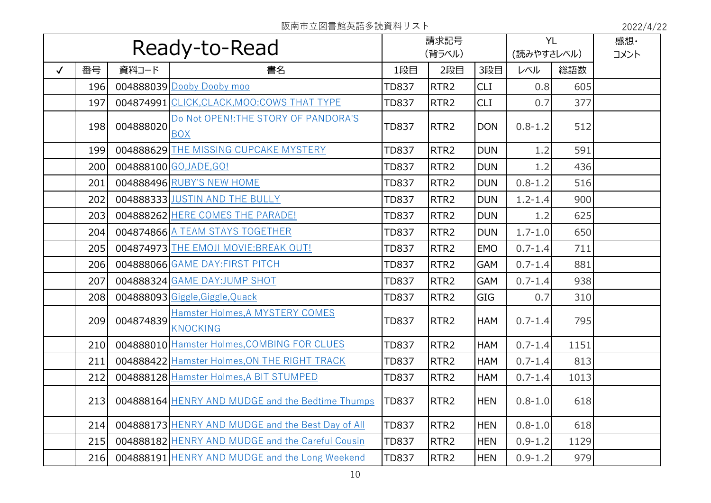|              |     |           | Ready-to-Read                                      |              | 請求記号             |            |             | <b>YL</b> | 感想·  |
|--------------|-----|-----------|----------------------------------------------------|--------------|------------------|------------|-------------|-----------|------|
|              |     |           |                                                    |              | (背ラベル)           |            | (読みやすさレベル)  |           | コメント |
| $\checkmark$ | 番号  | 資料コード     | 書名                                                 | 1段目          | 2段目              | 3段目        | レベル         | 総語数       |      |
|              | 196 |           | 004888039 Dooby Dooby moo                          | <b>TD837</b> | RTR <sub>2</sub> | <b>CLI</b> | 0.8         | 605       |      |
|              | 197 |           | 004874991 CLICK, CLACK, MOO: COWS THAT TYPE        | <b>TD837</b> | RTR <sub>2</sub> | <b>CLI</b> | 0.7         | 377       |      |
|              | 198 | 004888020 | Do Not OPEN!: THE STORY OF PANDORA'S<br><b>BOX</b> | <b>TD837</b> | RTR <sub>2</sub> | <b>DON</b> | $0.8 - 1.2$ | 512       |      |
|              | 199 |           | 004888629 THE MISSING CUPCAKE MYSTERY              | <b>TD837</b> | RTR <sub>2</sub> | <b>DUN</b> | 1.2         | 591       |      |
|              | 200 |           | 004888100 GO, JADE, GO!                            | <b>TD837</b> | RTR <sub>2</sub> | <b>DUN</b> | 1.2         | 436       |      |
|              | 201 |           | 004888496 RUBY'S NEW HOME                          | <b>TD837</b> | RTR <sub>2</sub> | <b>DUN</b> | $0.8 - 1.2$ | 516       |      |
|              | 202 |           | 004888333 JUSTIN AND THE BULLY                     | <b>TD837</b> | RTR <sub>2</sub> | <b>DUN</b> | $1.2 - 1.4$ | 900       |      |
|              | 203 |           | 004888262 HERE COMES THE PARADE!                   | <b>TD837</b> | RTR <sub>2</sub> | <b>DUN</b> | 1.2         | 625       |      |
|              | 204 |           | 004874866 A TEAM STAYS TOGETHER                    | <b>TD837</b> | RTR <sub>2</sub> | <b>DUN</b> | $1.7 - 1.0$ | 650       |      |
|              | 205 |           | 004874973 THE EMOJI MOVIE: BREAK OUT!              | <b>TD837</b> | RTR <sub>2</sub> | <b>EMO</b> | $0.7 - 1.4$ | 711       |      |
|              | 206 |           | 004888066 GAME DAY: FIRST PITCH                    | <b>TD837</b> | RTR <sub>2</sub> | <b>GAM</b> | $0.7 - 1.4$ | 881       |      |
|              | 207 |           | 004888324 GAME DAY:JUMP SHOT                       | <b>TD837</b> | RTR <sub>2</sub> | <b>GAM</b> | $0.7 - 1.4$ | 938       |      |
|              | 208 |           | 004888093 Giggle, Giggle, Quack                    | <b>TD837</b> | RTR <sub>2</sub> | <b>GIG</b> | 0.7         | 310       |      |
|              | 209 | 004874839 | Hamster Holmes, A MYSTERY COMES<br><b>KNOCKING</b> | <b>TD837</b> | RTR <sub>2</sub> | <b>HAM</b> | $0.7 - 1.4$ | 795       |      |
|              | 210 |           | 004888010 Hamster Holmes, COMBING FOR CLUES        | <b>TD837</b> | RTR <sub>2</sub> | <b>HAM</b> | $0.7 - 1.4$ | 1151      |      |
|              | 211 |           | 004888422 Hamster Holmes, ON THE RIGHT TRACK       | <b>TD837</b> | RTR <sub>2</sub> | <b>HAM</b> | $0.7 - 1.4$ | 813       |      |
|              | 212 |           | 004888128 Hamster Holmes, A BIT STUMPED            | <b>TD837</b> | RTR <sub>2</sub> | <b>HAM</b> | $0.7 - 1.4$ | 1013      |      |
|              | 213 |           | 004888164 HENRY AND MUDGE and the Bedtime Thumps   | <b>TD837</b> | RTR <sub>2</sub> | <b>HEN</b> | $0.8 - 1.0$ | 618       |      |
|              | 214 |           | 004888173 HENRY AND MUDGE and the Best Day of All  | <b>TD837</b> | RTR <sub>2</sub> | <b>HEN</b> | $0.8 - 1.0$ | 618       |      |
|              | 215 |           | 004888182 HENRY AND MUDGE and the Careful Cousin   | <b>TD837</b> | RTR <sub>2</sub> | <b>HEN</b> | $0.9 - 1.2$ | 1129      |      |
|              | 216 |           | 004888191 HENRY AND MUDGE and the Long Weekend     | <b>TD837</b> | RTR <sub>2</sub> | <b>HEN</b> | $0.9 - 1.2$ | 979       |      |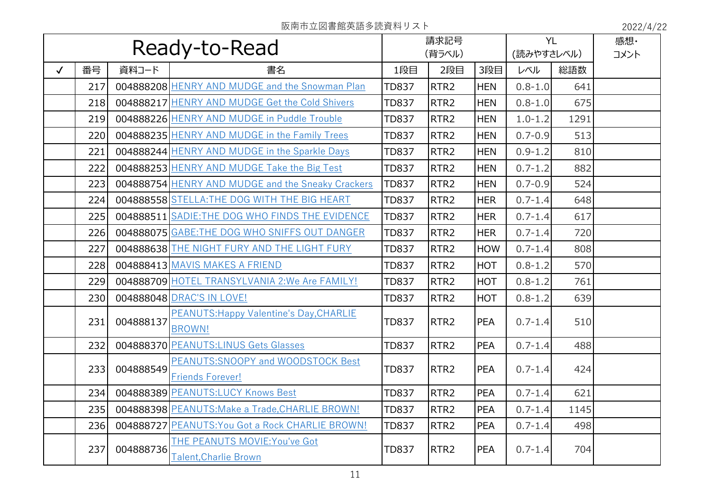|              |     |           | Ready-to-Read                                                 |              | 請求記号             |            |             | <b>YL</b> | 感想·  |
|--------------|-----|-----------|---------------------------------------------------------------|--------------|------------------|------------|-------------|-----------|------|
|              |     |           |                                                               |              | (背ラベル)           |            | (読みやすさレベル)  |           | コメント |
| $\checkmark$ | 番号  | 資料コード     | 書名                                                            | 1段目          | 2段目              | 3段目        | レベル         | 総語数       |      |
|              | 217 |           | 004888208 HENRY AND MUDGE and the Snowman Plan                | <b>TD837</b> | RTR <sub>2</sub> | <b>HEN</b> | $0.8 - 1.0$ | 641       |      |
|              | 218 |           | 004888217 HENRY AND MUDGE Get the Cold Shivers                | <b>TD837</b> | RTR <sub>2</sub> | <b>HEN</b> | $0.8 - 1.0$ | 675       |      |
|              | 219 |           | 004888226 HENRY AND MUDGE in Puddle Trouble                   | <b>TD837</b> | RTR <sub>2</sub> | <b>HEN</b> | $1.0 - 1.2$ | 1291      |      |
|              | 220 |           | 004888235 HENRY AND MUDGE in the Family Trees                 | <b>TD837</b> | RTR <sub>2</sub> | <b>HEN</b> | $0.7 - 0.9$ | 513       |      |
|              | 221 |           | 004888244 HENRY AND MUDGE in the Sparkle Days                 | <b>TD837</b> | RTR <sub>2</sub> | <b>HEN</b> | $0.9 - 1.2$ | 810       |      |
|              | 222 |           | 004888253 HENRY AND MUDGE Take the Big Test                   | <b>TD837</b> | RTR <sub>2</sub> | <b>HEN</b> | $0.7 - 1.2$ | 882       |      |
|              | 223 |           | 004888754 HENRY AND MUDGE and the Sneaky Crackers             | <b>TD837</b> | RTR <sub>2</sub> | <b>HEN</b> | $0.7 - 0.9$ | 524       |      |
|              | 224 |           | 004888558 STELLA: THE DOG WITH THE BIG HEART                  | <b>TD837</b> | RTR <sub>2</sub> | <b>HER</b> | $0.7 - 1.4$ | 648       |      |
|              | 225 |           | 004888511 SADIE: THE DOG WHO FINDS THE EVIDENCE               | <b>TD837</b> | RTR <sub>2</sub> | <b>HER</b> | $0.7 - 1.4$ | 617       |      |
|              | 226 |           | 004888075 GABE: THE DOG WHO SNIFFS OUT DANGER                 | <b>TD837</b> | RTR <sub>2</sub> | <b>HER</b> | $0.7 - 1.4$ | 720       |      |
|              | 227 |           | 004888638 THE NIGHT FURY AND THE LIGHT FURY                   | <b>TD837</b> | RTR <sub>2</sub> | <b>HOW</b> | $0.7 - 1.4$ | 808       |      |
|              | 228 |           | 004888413 MAVIS MAKES A FRIEND                                | <b>TD837</b> | RTR <sub>2</sub> | <b>HOT</b> | $0.8 - 1.2$ | 570       |      |
|              | 229 |           | 004888709 HOTEL TRANSYLVANIA 2: We Are FAMILY!                | <b>TD837</b> | RTR <sub>2</sub> | <b>HOT</b> | $0.8 - 1.2$ | 761       |      |
|              | 230 |           | 004888048 DRAC'S IN LOVE!                                     | <b>TD837</b> | RTR <sub>2</sub> | <b>HOT</b> | $0.8 - 1.2$ | 639       |      |
|              | 231 | 004888137 | PEANUTS: Happy Valentine's Day, CHARLIE<br>BROWN!             | <b>TD837</b> | RTR <sub>2</sub> | <b>PEA</b> | $0.7 - 1.4$ | 510       |      |
|              | 232 |           | 004888370 PEANUTS: LINUS Gets Glasses                         | <b>TD837</b> | RTR <sub>2</sub> | PEA        | $0.7 - 1.4$ | 488       |      |
|              | 233 | 004888549 | PEANUTS: SNOOPY and WOODSTOCK Best                            | <b>TD837</b> | RTR <sub>2</sub> | <b>PEA</b> | $0.7 - 1.4$ | 424       |      |
|              |     |           | <b>Friends Forever!</b>                                       |              |                  |            |             |           |      |
|              | 234 |           | 004888389 PEANUTS:LUCY Knows Best                             | <b>TD837</b> | RTR <sub>2</sub> | <b>PEA</b> | $0.7 - 1.4$ | 621       |      |
|              | 235 |           | 004888398 PEANUTS: Make a Trade, CHARLIE BROWN!               | <b>TD837</b> | RTR <sub>2</sub> | PEA        | $0.7 - 1.4$ | 1145      |      |
|              | 236 |           | 004888727 PEANUTS: You Got a Rock CHARLIE BROWN!              | <b>TD837</b> | RTR <sub>2</sub> | <b>PEA</b> | $0.7 - 1.4$ | 498       |      |
|              | 237 | 004888736 | THE PEANUTS MOVIE: You've Got<br><b>Talent, Charlie Brown</b> | <b>TD837</b> | RTR <sub>2</sub> | <b>PEA</b> | $0.7 - 1.4$ | 704       |      |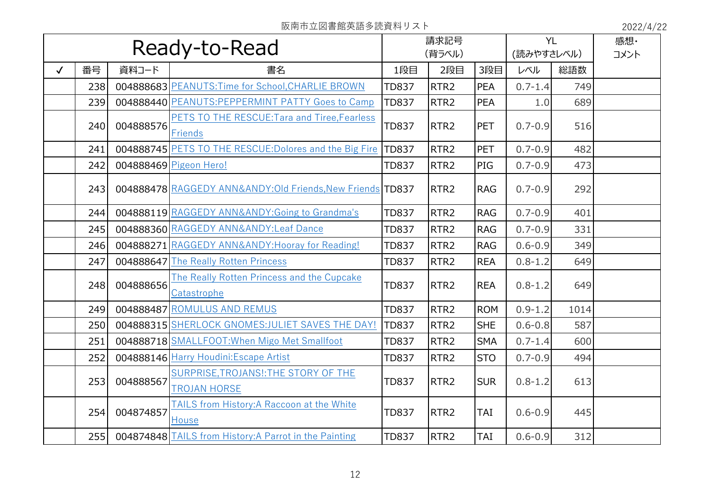|              | Ready-to-Read |           |                                                             |              | 請求記号<br>(背ラベル)   |            | <b>YL</b><br>(読みやすさレベル) |      | 感想・<br>コメント |
|--------------|---------------|-----------|-------------------------------------------------------------|--------------|------------------|------------|-------------------------|------|-------------|
| $\checkmark$ | 番号            | 資料コード     | 書名                                                          | 1段目          | 2段目              | 3段目        | レベル                     | 総語数  |             |
|              | 238           |           | 004888683 PEANUTS: Time for School, CHARLIE BROWN           | <b>TD837</b> | RTR <sub>2</sub> | <b>PEA</b> | $0.7 - 1.4$             | 749  |             |
|              | 239           |           | 004888440 PEANUTS: PEPPERMINT PATTY Goes to Camp            | <b>TD837</b> | RTR <sub>2</sub> | <b>PEA</b> | 1.0                     | 689  |             |
|              | 240           | 004888576 | PETS TO THE RESCUE: Tara and Tiree, Fearless<br>Friends     | <b>TD837</b> | RTR <sub>2</sub> | <b>PET</b> | $0.7 - 0.9$             | 516  |             |
|              | 241           |           | 004888745 PETS TO THE RESCUE: Dolores and the Big Fire      | <b>TD837</b> | RTR <sub>2</sub> | <b>PET</b> | $0.7 - 0.9$             | 482  |             |
|              | 242           |           | 004888469 Pigeon Hero!                                      | <b>TD837</b> | RTR <sub>2</sub> | PIG        | $0.7 - 0.9$             | 473  |             |
|              | 243           |           | 004888478 RAGGEDY ANN&ANDY: Old Friends, New Friends TD837  |              | RTR <sub>2</sub> | <b>RAG</b> | $0.7 - 0.9$             | 292  |             |
|              | 244           |           | 004888119 RAGGEDY ANN&ANDY: Going to Grandma's              | <b>TD837</b> | RTR <sub>2</sub> | <b>RAG</b> | $0.7 - 0.9$             | 401  |             |
|              | 245           |           | 004888360 RAGGEDY ANN&ANDY: Leaf Dance                      | <b>TD837</b> | RTR <sub>2</sub> | <b>RAG</b> | $0.7 - 0.9$             | 331  |             |
|              | 246           |           | 004888271 RAGGEDY ANN&ANDY: Hooray for Reading!             | <b>TD837</b> | RTR <sub>2</sub> | <b>RAG</b> | $0.6 - 0.9$             | 349  |             |
|              | 247           |           | 004888647 The Really Rotten Princess                        | <b>TD837</b> | RTR <sub>2</sub> | <b>REA</b> | $0.8 - 1.2$             | 649  |             |
|              | 248           | 004888656 | The Really Rotten Princess and the Cupcake<br>Catastrophe   | <b>TD837</b> | RTR <sub>2</sub> | <b>REA</b> | $0.8 - 1.2$             | 649  |             |
|              | 249           |           | 004888487 ROMULUS AND REMUS                                 | <b>TD837</b> | RTR <sub>2</sub> | <b>ROM</b> | $0.9 - 1.2$             | 1014 |             |
|              | 250           |           | 004888315 SHERLOCK GNOMES: JULIET SAVES THE DAY!            | <b>TD837</b> | RTR <sub>2</sub> | <b>SHE</b> | $0.6 - 0.8$             | 587  |             |
|              | 251           |           | 004888718 SMALLFOOT: When Migo Met Smallfoot                | <b>TD837</b> | RTR <sub>2</sub> | <b>SMA</b> | $0.7 - 1.4$             | 600  |             |
|              | 252           |           | 004888146 Harry Houdini: Escape Artist                      | <b>TD837</b> | RTR <sub>2</sub> | <b>STO</b> | $0.7 - 0.9$             | 494  |             |
|              | 253           | 004888567 | SURPRISE, TROJANS!: THE STORY OF THE<br><b>TROJAN HORSE</b> | <b>TD837</b> | RTR <sub>2</sub> | <b>SUR</b> | $0.8 - 1.2$             | 613  |             |
|              | 254           | 004874857 | TAILS from History: A Raccoon at the White<br>House         | <b>TD837</b> | RTR <sub>2</sub> | <b>TAI</b> | $0.6 - 0.9$             | 445  |             |
|              | 255           |           | 004874848 TAILS from History:A Parrot in the Painting       | <b>TD837</b> | RTR <sub>2</sub> | TAI        | $0.6 - 0.9$             | 312  |             |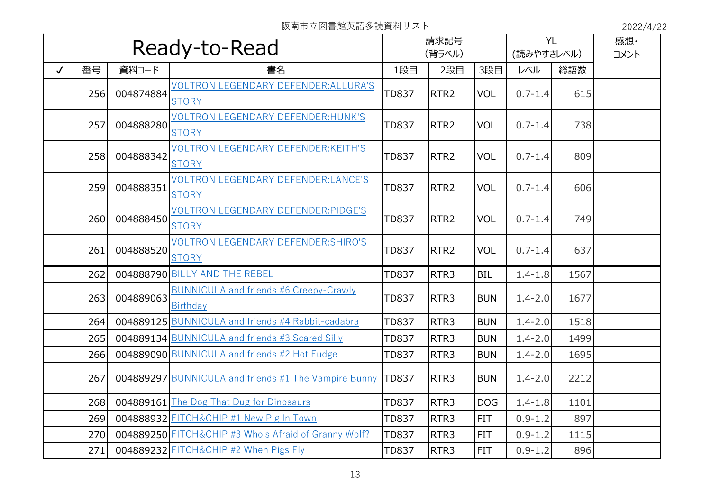| Ready-to-Read |     |           |                                                                  | 請求記号<br>(背ラベル) |                  | <b>YL</b><br>(読みやすさレベル) |             | 感想·<br>コメント |  |
|---------------|-----|-----------|------------------------------------------------------------------|----------------|------------------|-------------------------|-------------|-------------|--|
| $\checkmark$  | 番号  | 資料コード     | 書名                                                               | 1段目            | 2段目              | 3段目                     | レベル         | 総語数         |  |
|               | 256 | 004874884 | <b>VOLTRON LEGENDARY DEFENDER: ALLURA'S</b><br><b>STORY</b>      | <b>TD837</b>   | RTR <sub>2</sub> | <b>VOL</b>              | $0.7 - 1.4$ | 615         |  |
|               | 257 | 004888280 | <b>VOLTRON LEGENDARY DEFENDER: HUNK'S</b><br><b>STORY</b>        | <b>TD837</b>   | RTR <sub>2</sub> | <b>VOL</b>              | $0.7 - 1.4$ | 738         |  |
|               | 258 | 004888342 | <b>VOLTRON LEGENDARY DEFENDER:KEITH'S</b><br><b>STORY</b>        | <b>TD837</b>   | RTR <sub>2</sub> | <b>VOL</b>              | $0.7 - 1.4$ | 809         |  |
|               | 259 | 004888351 | VOLTRON LEGENDARY DEFENDER:LANCE'S<br><b>STORY</b>               | <b>TD837</b>   | RTR <sub>2</sub> | <b>VOL</b>              | $0.7 - 1.4$ | 606         |  |
|               | 260 | 004888450 | <b>VOLTRON LEGENDARY DEFENDER:PIDGE'S</b><br><b>STORY</b>        | <b>TD837</b>   | RTR <sub>2</sub> | <b>VOL</b>              | $0.7 - 1.4$ | 749         |  |
|               | 261 | 004888520 | <b>VOLTRON LEGENDARY DEFENDER: SHIRO'S</b><br><b>STORY</b>       | <b>TD837</b>   | RTR <sub>2</sub> | <b>VOL</b>              | $0.7 - 1.4$ | 637         |  |
|               | 262 |           | 004888790 BILLY AND THE REBEL                                    | <b>TD837</b>   | RTR3             | <b>BIL</b>              | $1.4 - 1.8$ | 1567        |  |
|               | 263 | 004889063 | <b>BUNNICULA and friends #6 Creepy-Crawly</b><br><b>Birthday</b> | <b>TD837</b>   | RTR <sub>3</sub> | <b>BUN</b>              | $1.4 - 2.0$ | 1677        |  |
|               | 264 |           | 004889125 BUNNICULA and friends #4 Rabbit-cadabra                | <b>TD837</b>   | RTR3             | <b>BUN</b>              | $1.4 - 2.0$ | 1518        |  |
|               | 265 |           | 004889134 BUNNICULA and friends #3 Scared Silly                  | <b>TD837</b>   | RTR3             | <b>BUN</b>              | $1.4 - 2.0$ | 1499        |  |
|               | 266 |           | 004889090 BUNNICULA and friends #2 Hot Fudge                     | <b>TD837</b>   | RTR <sub>3</sub> | <b>BUN</b>              | $1.4 - 2.0$ | 1695        |  |
|               | 267 |           | 004889297 BUNNICULA and friends #1 The Vampire Bunny             | <b>TD837</b>   | RTR3             | <b>BUN</b>              | $1.4 - 2.0$ | 2212        |  |
|               | 268 |           | 004889161 The Dog That Dug for Dinosaurs                         | <b>TD837</b>   | RTR3             | <b>DOG</b>              | $1.4 - 1.8$ | 1101        |  |
|               | 269 |           | 004888932 FITCH&CHIP #1 New Pig In Town                          | <b>TD837</b>   | RTR3             | <b>FIT</b>              | $0.9 - 1.2$ | 897         |  |
|               | 270 |           | 004889250 FITCH&CHIP #3 Who's Afraid of Granny Wolf?             | <b>TD837</b>   | RTR3             | <b>FIT</b>              | $0.9 - 1.2$ | 1115        |  |
|               | 271 |           | 004889232 FITCH&CHIP #2 When Pigs Fly                            | <b>TD837</b>   | RTR3             | FIT                     | $0.9 - 1.2$ | 896         |  |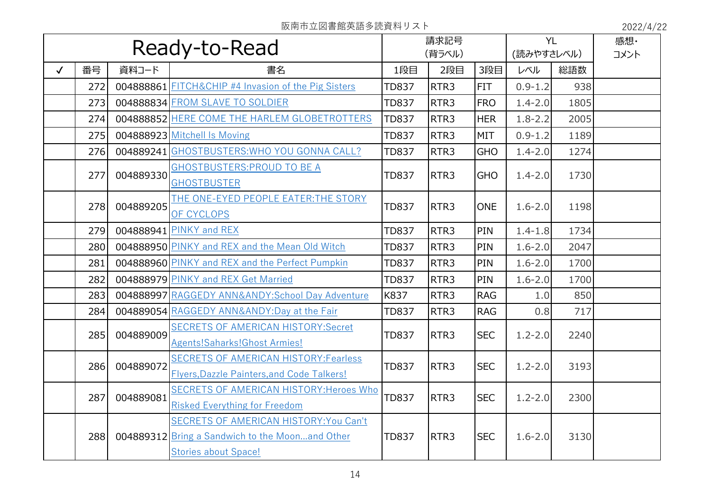| Ready-to-Read |     |           | 請求記号                                                                                                                     |              | <b>YL</b>        |            | 感想·         |      |  |
|---------------|-----|-----------|--------------------------------------------------------------------------------------------------------------------------|--------------|------------------|------------|-------------|------|--|
|               |     |           | (背ラベル)                                                                                                                   |              | (読みやすさレベル)       |            | コメント        |      |  |
| $\checkmark$  | 番号  | 資料コード     | 書名                                                                                                                       | 1段目          | 2段目              | 3段目        | レベル         | 総語数  |  |
|               | 272 |           | 004888861 FITCH&CHIP #4 Invasion of the Pig Sisters                                                                      | <b>TD837</b> | RTR <sub>3</sub> | <b>FIT</b> | $0.9 - 1.2$ | 938  |  |
|               | 273 |           | 004888834 FROM SLAVE TO SOLDIER                                                                                          | <b>TD837</b> | RTR3             | <b>FRO</b> | $1.4 - 2.0$ | 1805 |  |
|               | 274 |           | 004888852 HERE COME THE HARLEM GLOBETROTTERS                                                                             | <b>TD837</b> | RTR3             | <b>HER</b> | $1.8 - 2.2$ | 2005 |  |
|               | 275 |           | 004888923 Mitchell Is Moving                                                                                             | <b>TD837</b> | RTR <sub>3</sub> | <b>MIT</b> | $0.9 - 1.2$ | 1189 |  |
|               | 276 |           | 004889241 GHOSTBUSTERS: WHO YOU GONNA CALL?                                                                              | <b>TD837</b> | RTR3             | <b>GHO</b> | $1.4 - 2.0$ | 1274 |  |
|               | 277 | 004889330 | <b>GHOSTBUSTERS: PROUD TO BE A</b><br><b>GHOSTBUSTER</b>                                                                 | <b>TD837</b> | RTR <sub>3</sub> | <b>GHO</b> | $1.4 - 2.0$ | 1730 |  |
|               | 278 | 004889205 | THE ONE-EYED PEOPLE EATER:THE STORY<br>OF CYCLOPS                                                                        | <b>TD837</b> | RTR <sub>3</sub> | <b>ONE</b> | $1.6 - 2.0$ | 1198 |  |
|               | 279 |           | 004888941 PINKY and REX                                                                                                  | <b>TD837</b> | RTR3             | PIN        | $1.4 - 1.8$ | 1734 |  |
|               | 280 |           | 004888950 PINKY and REX and the Mean Old Witch                                                                           | <b>TD837</b> | RTR3             | PIN        | $1.6 - 2.0$ | 2047 |  |
|               | 281 |           | 004888960 PINKY and REX and the Perfect Pumpkin                                                                          | <b>TD837</b> | RTR <sub>3</sub> | PIN        | $1.6 - 2.0$ | 1700 |  |
|               | 282 |           | 004888979 PINKY and REX Get Married                                                                                      | <b>TD837</b> | RTR3             | PIN        | $1.6 - 2.0$ | 1700 |  |
|               | 283 |           | 004888997 RAGGEDY ANN&ANDY:School Day Adventure                                                                          | K837         | RTR3             | <b>RAG</b> | 1.0         | 850  |  |
|               | 284 |           | 004889054 RAGGEDY ANN&ANDY:Day at the Fair                                                                               | <b>TD837</b> | RTR3             | <b>RAG</b> | 0.8         | 717  |  |
|               | 285 | 004889009 | <b>SECRETS OF AMERICAN HISTORY: Secret</b><br>Agents!Saharks!Ghost Armies!                                               | <b>TD837</b> | RTR <sub>3</sub> | <b>SEC</b> | $1.2 - 2.0$ | 2240 |  |
|               | 286 | 004889072 | <b>SECRETS OF AMERICAN HISTORY: Fearless</b><br>Flyers, Dazzle Painters, and Code Talkers!                               | <b>TD837</b> | RTR <sub>3</sub> | <b>SEC</b> | $1.2 - 2.0$ | 3193 |  |
|               | 287 | 004889081 | <b>SECRETS OF AMERICAN HISTORY: Heroes Who</b><br><b>Risked Everything for Freedom</b>                                   | <b>TD837</b> | RTR <sub>3</sub> | <b>SEC</b> | $1.2 - 2.0$ | 2300 |  |
|               | 288 |           | SECRETS OF AMERICAN HISTORY: You Can't<br>004889312 Bring a Sandwich to the Moonand Other<br><b>Stories about Space!</b> | <b>TD837</b> | RTR <sub>3</sub> | <b>SEC</b> | $1.6 - 2.0$ | 3130 |  |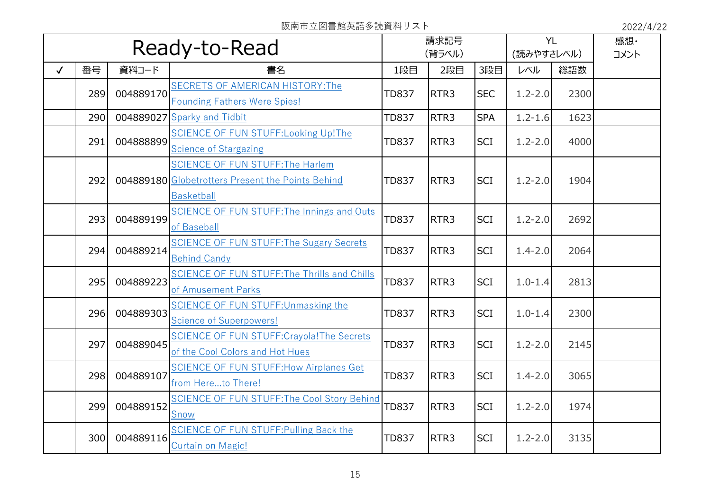| Ready-to-Read |     |           |                                                                                                                   | 請求記号<br>(背ラベル) |                  | <b>YL</b><br>(読みやすさレベル) |             | 感想·<br>コメント |  |
|---------------|-----|-----------|-------------------------------------------------------------------------------------------------------------------|----------------|------------------|-------------------------|-------------|-------------|--|
| $\checkmark$  | 番号  | 資料コード     | 書名                                                                                                                | 1段目            | 2段目              | 3段目                     | レベル         | 総語数         |  |
|               | 289 | 004889170 | <b>SECRETS OF AMERICAN HISTORY: The</b><br><b>Founding Fathers Were Spies!</b>                                    | <b>TD837</b>   | RTR3             | <b>SEC</b>              | $1.2 - 2.0$ | 2300        |  |
|               | 290 |           | 004889027 Sparky and Tidbit                                                                                       | <b>TD837</b>   | RTR3             | <b>SPA</b>              | $1.2 - 1.6$ | 1623        |  |
|               | 291 | 004888899 | <b>SCIENCE OF FUN STUFF: Looking Up! The</b><br><b>Science of Stargazing</b>                                      | <b>TD837</b>   | RTR <sub>3</sub> | <b>SCI</b>              | $1.2 - 2.0$ | 4000        |  |
|               | 292 |           | <b>SCIENCE OF FUN STUFF: The Harlem</b><br>004889180 Globetrotters Present the Points Behind<br><b>Basketball</b> | <b>TD837</b>   | RTR3             | <b>SCI</b>              | $1.2 - 2.0$ | 1904        |  |
|               | 293 | 004889199 | SCIENCE OF FUN STUFF: The Innings and Outs<br>of Baseball                                                         | <b>TD837</b>   | RTR3             | <b>SCI</b>              | $1.2 - 2.0$ | 2692        |  |
|               | 294 | 004889214 | <b>SCIENCE OF FUN STUFF: The Sugary Secrets</b><br><b>Behind Candy</b>                                            | <b>TD837</b>   | RTR3             | <b>SCI</b>              | $1.4 - 2.0$ | 2064        |  |
|               | 295 | 004889223 | SCIENCE OF FUN STUFF: The Thrills and Chills<br>of Amusement Parks                                                | <b>TD837</b>   | RTR3             | <b>SCI</b>              | $1.0 - 1.4$ | 2813        |  |
|               | 296 | 004889303 | SCIENCE OF FUN STUFF: Unmasking the<br><b>Science of Superpowers!</b>                                             | <b>TD837</b>   | RTR3             | <b>SCI</b>              | $1.0 - 1.4$ | 2300        |  |
|               | 297 | 004889045 | <b>SCIENCE OF FUN STUFF: Crayola! The Secrets</b><br>of the Cool Colors and Hot Hues                              | <b>TD837</b>   | RTR <sub>3</sub> | <b>SCI</b>              | $1.2 - 2.0$ | 2145        |  |
|               | 298 | 004889107 | <b>SCIENCE OF FUN STUFF: How Airplanes Get</b><br>from Hereto There!                                              | <b>TD837</b>   | RTR3             | <b>SCI</b>              | $1.4 - 2.0$ | 3065        |  |
|               | 299 | 004889152 | <b>SCIENCE OF FUN STUFF: The Cool Story Behind</b><br>Snow                                                        | <b>TD837</b>   | RTR3             | <b>SCI</b>              | $1.2 - 2.0$ | 1974        |  |
|               | 300 | 004889116 | SCIENCE OF FUN STUFF: Pulling Back the<br><b>Curtain on Magic!</b>                                                | <b>TD837</b>   | RTR3             | <b>SCI</b>              | $1.2 - 2.0$ | 3135        |  |